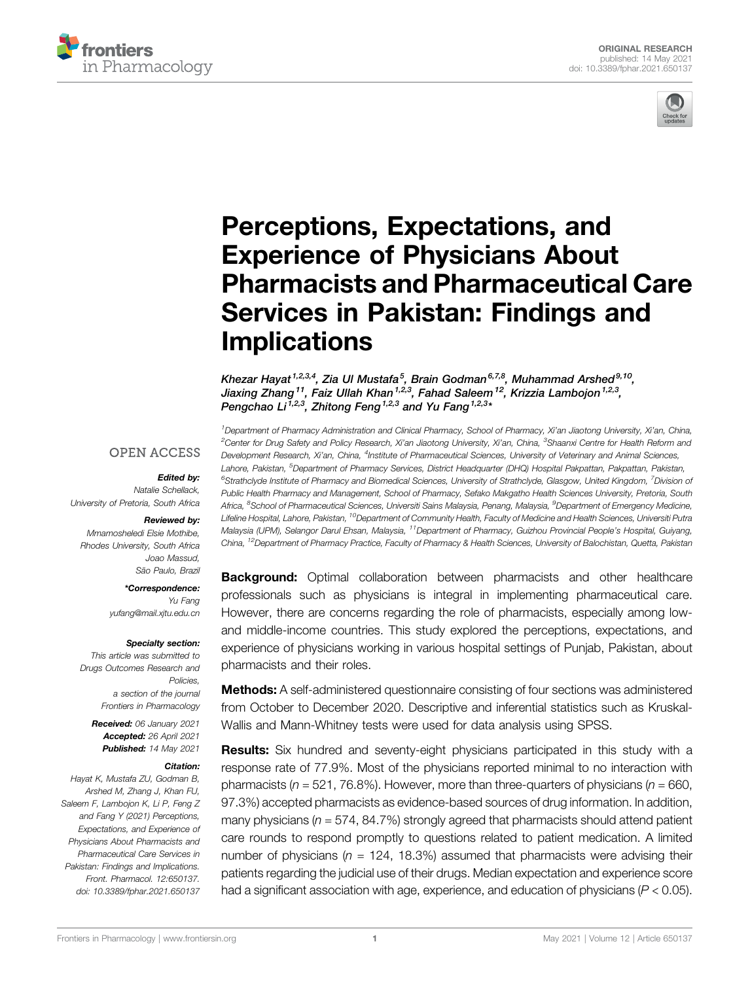



# [Perceptions, Expectations, and](https://www.frontiersin.org/articles/10.3389/fphar.2021.650137/full) [Experience of Physicians About](https://www.frontiersin.org/articles/10.3389/fphar.2021.650137/full) [Pharmacists and Pharmaceutical Care](https://www.frontiersin.org/articles/10.3389/fphar.2021.650137/full) [Services in Pakistan: Findings and](https://www.frontiersin.org/articles/10.3389/fphar.2021.650137/full) **[Implications](https://www.frontiersin.org/articles/10.3389/fphar.2021.650137/full)**

Khezar Hayat <sup>1,2,3,4</sup>, Zia Ul Mustafa <sup>5</sup>, Brain Godman <sup>6,7,8</sup>, Muhammad Arshed <sup>9,10</sup>, Jiaxing Zhang<sup>11</sup>, Faiz Ullah Khan<sup>1,2,3</sup>, Fahad Saleem<sup>12</sup>, Krizzia Lambojon<sup>1,2,3</sup>, Pengchao Li <sup>1,2,3</sup>, Zhitong Feng <sup>1,2,3</sup> and Yu Fang <sup>1,2,3</sup>\*

1 Department of Pharmacy Administration and Clinical Pharmacy, School of Pharmacy, Xi'an Jiaotong University, Xi'an, China, <sup>2</sup>Center for Drug Safety and Policy Research, Xi'an Jiaotong University, Xi'an, China, <sup>3</sup>Shaanxi Centre for Health Reform and Development Research, Xi'an, China, <sup>4</sup>Institute of Pharmaceutical Sciences, University of Veterinary and Animal Sciences, Lahore, Pakistan, <sup>5</sup>Department of Pharmacy Services, District Headquarter (DHQ) Hospital Pakpattan, Pakpattan, Pakistan, <sup>6</sup>Strathclyde Institute of Pharmacy and Biomedical Sciences, University of Strathclyde, Glasgow, United Kingdom, <sup>7</sup>Division oi Public Health Pharmacy and Management, School of Pharmacy, Sefako Makgatho Health Sciences University, Pretoria, South Africa, <sup>8</sup>School of Pharmaceutical Sciences, Universiti Sains Malaysia, Penang, Malaysia, <sup>9</sup>Department of Emergency Medicine, Lifeline Hospital, Lahore, Pakistan, <sup>10</sup>Department of Community Health, Faculty of Medicine and Health Sciences, Universiti Putra Malaysia (UPM), Selangor Darul Ehsan, Malaysia, <sup>11</sup>Department of Pharmacy, Guizhou Provincial People's Hospital, Guiyang, China, <sup>12</sup>Department of Pharmacy Practice, Faculty of Pharmacy & Health Sciences, University of Balochistan, Quetta, Pakistan

#### **OPEN ACCESS**

#### Edited by:

Natalie Schellack, University of Pretoria, South Africa

#### Reviewed by:

Mmamosheledi Elsie Mothibe, Rhodes University, South Africa Joao Massud, São Paulo, Brazil

\*Correspondence:

Yu Fang [yufang@mail.xjtu.edu.cn](mailto:yufang@mail.xjtu.edu.cn)

#### Specialty section:

This article was submitted to Drugs Outcomes Research and Policies, a section of the journal Frontiers in Pharmacology

Received: 06 January 2021 Accepted: 26 April 2021 Published: 14 May 2021

#### Citation:

Hayat K, Mustafa ZU, Godman B, Arshed M, Zhang J, Khan FU, Saleem F, Lambojon K, Li P, Feng Z and Fang Y (2021) Perceptions, Expectations, and Experience of Physicians About Pharmacists and Pharmaceutical Care Services in Pakistan: Findings and Implications. Front. Pharmacol. 12:650137. doi: [10.3389/fphar.2021.650137](https://doi.org/10.3389/fphar.2021.650137)

**Background:** Optimal collaboration between pharmacists and other healthcare professionals such as physicians is integral in implementing pharmaceutical care. However, there are concerns regarding the role of pharmacists, especially among lowand middle-income countries. This study explored the perceptions, expectations, and experience of physicians working in various hospital settings of Punjab, Pakistan, about pharmacists and their roles.

**Methods:** A self-administered questionnaire consisting of four sections was administered from October to December 2020. Descriptive and inferential statistics such as Kruskal-Wallis and Mann-Whitney tests were used for data analysis using SPSS.

Results: Six hundred and seventy-eight physicians participated in this study with a response rate of 77.9%. Most of the physicians reported minimal to no interaction with pharmacists ( $n = 521, 76.8\%$ ). However, more than three-quarters of physicians ( $n = 660$ , 97.3%) accepted pharmacists as evidence-based sources of drug information. In addition, many physicians ( $n = 574$ , 84.7%) strongly agreed that pharmacists should attend patient care rounds to respond promptly to questions related to patient medication. A limited number of physicians ( $n = 124$ , 18.3%) assumed that pharmacists were advising their patients regarding the judicial use of their drugs. Median expectation and experience score had a significant association with age, experience, and education of physicians  $(P < 0.05)$ .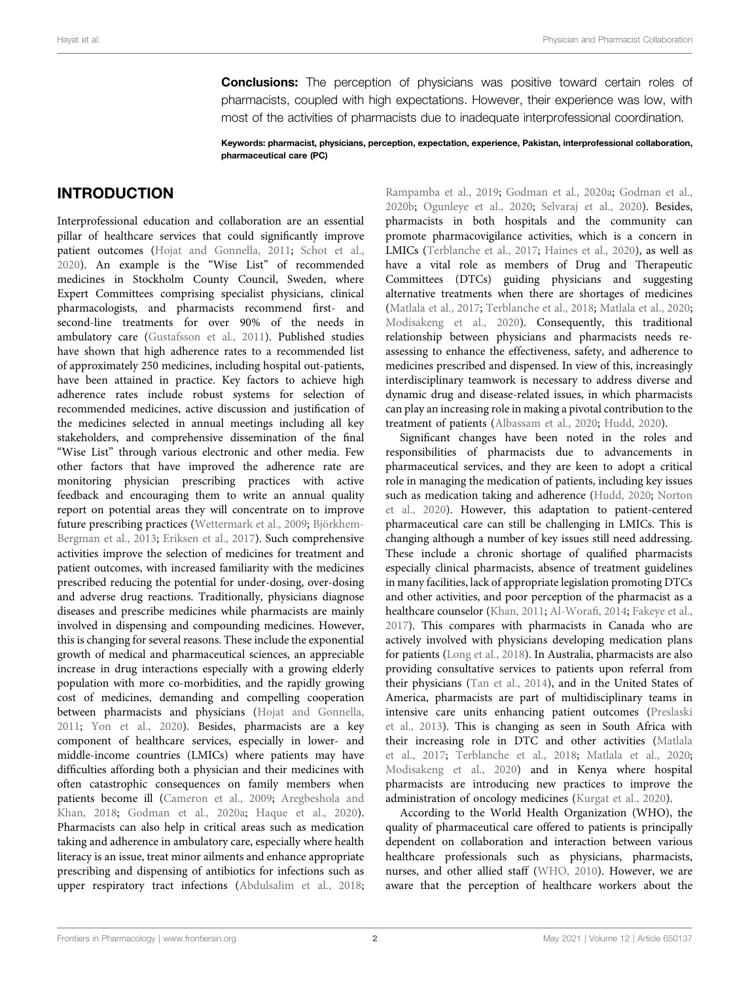**Conclusions:** The perception of physicians was positive toward certain roles of pharmacists, coupled with high expectations. However, their experience was low, with most of the activities of pharmacists due to inadequate interprofessional coordination.

Keywords: pharmacist, physicians, perception, expectation, experience, Pakistan, interprofessional collaboration, pharmaceutical care (PC)

## INTRODUCTION

Interprofessional education and collaboration are an essential pillar of healthcare services that could significantly improve patient outcomes ([Hojat and Gonnella, 2011;](#page-8-0) [Schot et al.,](#page-9-0) [2020](#page-9-0)). An example is the "Wise List" of recommended medicines in Stockholm County Council, Sweden, where Expert Committees comprising specialist physicians, clinical pharmacologists, and pharmacists recommend first- and second-line treatments for over 90% of the needs in ambulatory care ([Gustafsson et al., 2011](#page-8-1)). Published studies have shown that high adherence rates to a recommended list of approximately 250 medicines, including hospital out-patients, have been attained in practice. Key factors to achieve high adherence rates include robust systems for selection of recommended medicines, active discussion and justification of the medicines selected in annual meetings including all key stakeholders, and comprehensive dissemination of the final "Wise List" through various electronic and other media. Few other factors that have improved the adherence rate are monitoring physician prescribing practices with active feedback and encouraging them to write an annual quality report on potential areas they will concentrate on to improve future prescribing practices [\(Wettermark et al., 2009;](#page-9-1) [Björkhem-](#page-8-2)[Bergman et al., 2013](#page-8-2); [Eriksen et al., 2017](#page-8-3)). Such comprehensive activities improve the selection of medicines for treatment and patient outcomes, with increased familiarity with the medicines prescribed reducing the potential for under-dosing, over-dosing and adverse drug reactions. Traditionally, physicians diagnose diseases and prescribe medicines while pharmacists are mainly involved in dispensing and compounding medicines. However, this is changing for several reasons. These include the exponential growth of medical and pharmaceutical sciences, an appreciable increase in drug interactions especially with a growing elderly population with more co-morbidities, and the rapidly growing cost of medicines, demanding and compelling cooperation between pharmacists and physicians [\(Hojat and Gonnella,](#page-8-0) [2011](#page-8-0); [Yon et al., 2020\)](#page-10-0). Besides, pharmacists are a key component of healthcare services, especially in lower- and middle-income countries (LMICs) where patients may have difficulties affording both a physician and their medicines with often catastrophic consequences on family members when patients become ill ([Cameron et al., 2009](#page-8-4); [Aregbeshola and](#page-8-5) [Khan, 2018;](#page-8-5) [Godman et al., 2020a;](#page-8-6) [Haque et al., 2020\)](#page-8-7). Pharmacists can also help in critical areas such as medication taking and adherence in ambulatory care, especially where health literacy is an issue, treat minor ailments and enhance appropriate prescribing and dispensing of antibiotics for infections such as upper respiratory tract infections ([Abdulsalim et al., 2018](#page-8-8);

[Rampamba et al., 2019](#page-9-2); [Godman et al., 2020a;](#page-8-6) [Godman et al.,](#page-8-9) [2020b;](#page-8-9) [Ogunleye et al., 2020;](#page-9-3) [Selvaraj et al., 2020\)](#page-9-4). Besides, pharmacists in both hospitals and the community can promote pharmacovigilance activities, which is a concern in LMICs ([Terblanche et al., 2017](#page-9-5); [Haines et al., 2020](#page-8-10)), as well as have a vital role as members of Drug and Therapeutic Committees (DTCs) guiding physicians and suggesting alternative treatments when there are shortages of medicines [\(Matlala et al., 2017](#page-9-6); [Terblanche et al., 2018;](#page-9-7) [Matlala et al., 2020;](#page-9-8) [Modisakeng et al., 2020\)](#page-9-9). Consequently, this traditional relationship between physicians and pharmacists needs reassessing to enhance the effectiveness, safety, and adherence to medicines prescribed and dispensed. In view of this, increasingly interdisciplinary teamwork is necessary to address diverse and dynamic drug and disease-related issues, in which pharmacists can play an increasing role in making a pivotal contribution to the treatment of patients ([Albassam et al., 2020](#page-8-11); [Hudd, 2020\)](#page-9-10).

Significant changes have been noted in the roles and responsibilities of pharmacists due to advancements in pharmaceutical services, and they are keen to adopt a critical role in managing the medication of patients, including key issues such as medication taking and adherence ([Hudd, 2020;](#page-9-10) [Norton](#page-9-11) [et al., 2020](#page-9-11)). However, this adaptation to patient-centered pharmaceutical care can still be challenging in LMICs. This is changing although a number of key issues still need addressing. These include a chronic shortage of qualified pharmacists especially clinical pharmacists, absence of treatment guidelines in many facilities, lack of appropriate legislation promoting DTCs and other activities, and poor perception of the pharmacist as a healthcare counselor [\(Khan, 2011](#page-9-12); [Al-Wora](#page-10-1)fi, 2014; [Fakeye et al.,](#page-8-12) [2017](#page-8-12)). This compares with pharmacists in Canada who are actively involved with physicians developing medication plans for patients ([Long et al., 2018\)](#page-9-13). In Australia, pharmacists are also providing consultative services to patients upon referral from their physicians [\(Tan et al., 2014\)](#page-9-14), and in the United States of America, pharmacists are part of multidisciplinary teams in intensive care units enhancing patient outcomes ([Preslaski](#page-9-15) [et al., 2013](#page-9-15)). This is changing as seen in South Africa with their increasing role in DTC and other activities ([Matlala](#page-9-6) [et al., 2017;](#page-9-6) [Terblanche et al., 2018;](#page-9-7) [Matlala et al., 2020;](#page-9-8) [Modisakeng et al., 2020\)](#page-9-9) and in Kenya where hospital pharmacists are introducing new practices to improve the administration of oncology medicines ([Kurgat et al., 2020\)](#page-9-16).

According to the World Health Organization (WHO), the quality of pharmaceutical care offered to patients is principally dependent on collaboration and interaction between various healthcare professionals such as physicians, pharmacists, nurses, and other allied staff ([WHO, 2010](#page-9-17)). However, we are aware that the perception of healthcare workers about the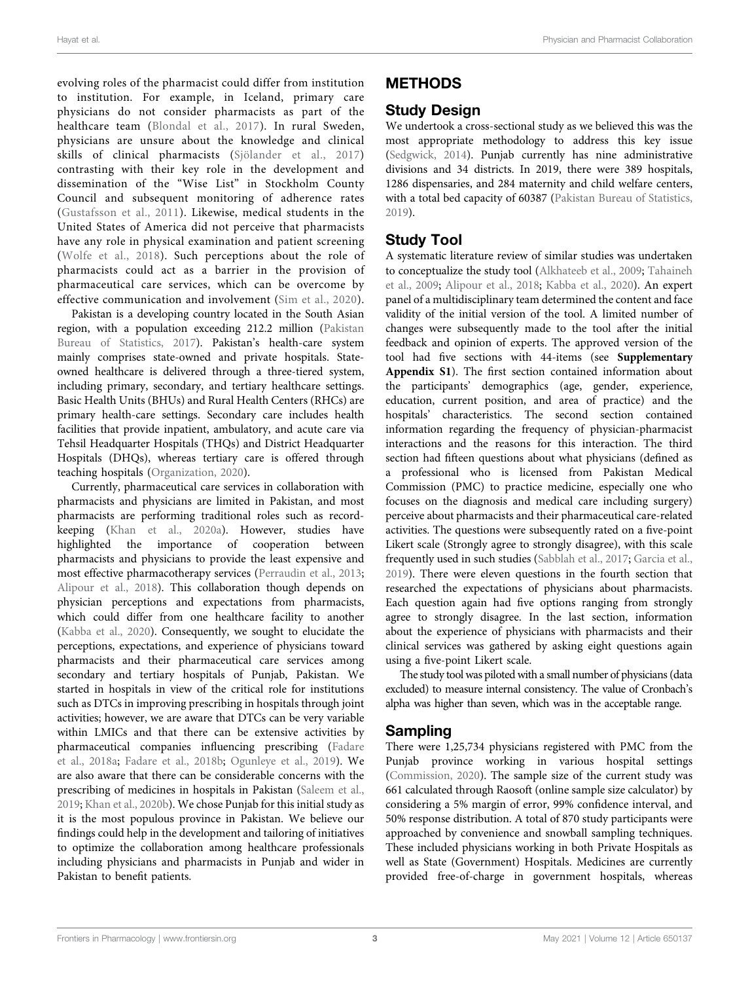evolving roles of the pharmacist could differ from institution to institution. For example, in Iceland, primary care physicians do not consider pharmacists as part of the healthcare team ([Blondal et al., 2017](#page-8-13)). In rural Sweden, physicians are unsure about the knowledge and clinical skills of clinical pharmacists ([Sjölander et al., 2017\)](#page-9-18) contrasting with their key role in the development and dissemination of the "Wise List" in Stockholm County Council and subsequent monitoring of adherence rates ([Gustafsson et al., 2011](#page-8-1)). Likewise, medical students in the United States of America did not perceive that pharmacists have any role in physical examination and patient screening ([Wolfe et al., 2018](#page-10-2)). Such perceptions about the role of pharmacists could act as a barrier in the provision of pharmaceutical care services, which can be overcome by effective communication and involvement [\(Sim et al., 2020\)](#page-9-19).

Pakistan is a developing country located in the South Asian region, with a population exceeding 212.2 million [\(Pakistan](#page-9-20) [Bureau of Statistics, 2017\)](#page-9-20). Pakistan's health-care system mainly comprises state-owned and private hospitals. Stateowned healthcare is delivered through a three-tiered system, including primary, secondary, and tertiary healthcare settings. Basic Health Units (BHUs) and Rural Health Centers (RHCs) are primary health-care settings. Secondary care includes health facilities that provide inpatient, ambulatory, and acute care via Tehsil Headquarter Hospitals (THQs) and District Headquarter Hospitals (DHQs), whereas tertiary care is offered through teaching hospitals [\(Organization, 2020](#page-9-21)).

Currently, pharmaceutical care services in collaboration with pharmacists and physicians are limited in Pakistan, and most pharmacists are performing traditional roles such as recordkeeping [\(Khan et al., 2020a\)](#page-9-22). However, studies have highlighted the importance of cooperation between pharmacists and physicians to provide the least expensive and most effective pharmacotherapy services [\(Perraudin et al., 2013](#page-9-23); [Alipour et al., 2018\)](#page-8-14). This collaboration though depends on physician perceptions and expectations from pharmacists, which could differ from one healthcare facility to another ([Kabba et al., 2020](#page-9-24)). Consequently, we sought to elucidate the perceptions, expectations, and experience of physicians toward pharmacists and their pharmaceutical care services among secondary and tertiary hospitals of Punjab, Pakistan. We started in hospitals in view of the critical role for institutions such as DTCs in improving prescribing in hospitals through joint activities; however, we are aware that DTCs can be very variable within LMICs and that there can be extensive activities by pharmaceutical companies influencing prescribing ([Fadare](#page-8-15) [et al., 2018a](#page-8-15); [Fadare et al., 2018b](#page-8-16); [Ogunleye et al., 2019\)](#page-9-25). We are also aware that there can be considerable concerns with the prescribing of medicines in hospitals in Pakistan ([Saleem et al.,](#page-9-26) [2019](#page-9-26); [Khan et al., 2020b\)](#page-9-27). We chose Punjab for this initial study as it is the most populous province in Pakistan. We believe our findings could help in the development and tailoring of initiatives to optimize the collaboration among healthcare professionals including physicians and pharmacists in Punjab and wider in Pakistan to benefit patients.

# METHODS

# Study Design

We undertook a cross-sectional study as we believed this was the most appropriate methodology to address this key issue [\(Sedgwick, 2014\)](#page-9-28). Punjab currently has nine administrative divisions and 34 districts. In 2019, there were 389 hospitals, 1286 dispensaries, and 284 maternity and child welfare centers, with a total bed capacity of 60387 [\(Pakistan Bureau of Statistics,](#page-9-29) [2019](#page-9-29)).

# Study Tool

A systematic literature review of similar studies was undertaken to conceptualize the study tool [\(Alkhateeb et al., 2009;](#page-8-17) [Tahaineh](#page-9-30) [et al., 2009](#page-9-30); [Alipour et al., 2018](#page-8-14); [Kabba et al., 2020\)](#page-9-24). An expert panel of a multidisciplinary team determined the content and face validity of the initial version of the tool. A limited number of changes were subsequently made to the tool after the initial feedback and opinion of experts. The approved version of the tool had five sections with 44-items (see [Supplementary](#page-8-18) [Appendix S1](#page-8-18)). The first section contained information about the participants' demographics (age, gender, experience, education, current position, and area of practice) and the hospitals' characteristics. The second section contained information regarding the frequency of physician-pharmacist interactions and the reasons for this interaction. The third section had fifteen questions about what physicians (defined as a professional who is licensed from Pakistan Medical Commission (PMC) to practice medicine, especially one who focuses on the diagnosis and medical care including surgery) perceive about pharmacists and their pharmaceutical care-related activities. The questions were subsequently rated on a five-point Likert scale (Strongly agree to strongly disagree), with this scale frequently used in such studies [\(Sabblah et al., 2017;](#page-9-31) [Garcia et al.,](#page-8-19) [2019](#page-8-19)). There were eleven questions in the fourth section that researched the expectations of physicians about pharmacists. Each question again had five options ranging from strongly agree to strongly disagree. In the last section, information about the experience of physicians with pharmacists and their clinical services was gathered by asking eight questions again using a five-point Likert scale.

The study tool was piloted with a small number of physicians (data excluded) to measure internal consistency. The value of Cronbach's alpha was higher than seven, which was in the acceptable range.

### Sampling

There were 1,25,734 physicians registered with PMC from the Punjab province working in various hospital settings [\(Commission, 2020\)](#page-8-20). The sample size of the current study was 661 calculated through Raosoft (online sample size calculator) by considering a 5% margin of error, 99% confidence interval, and 50% response distribution. A total of 870 study participants were approached by convenience and snowball sampling techniques. These included physicians working in both Private Hospitals as well as State (Government) Hospitals. Medicines are currently provided free-of-charge in government hospitals, whereas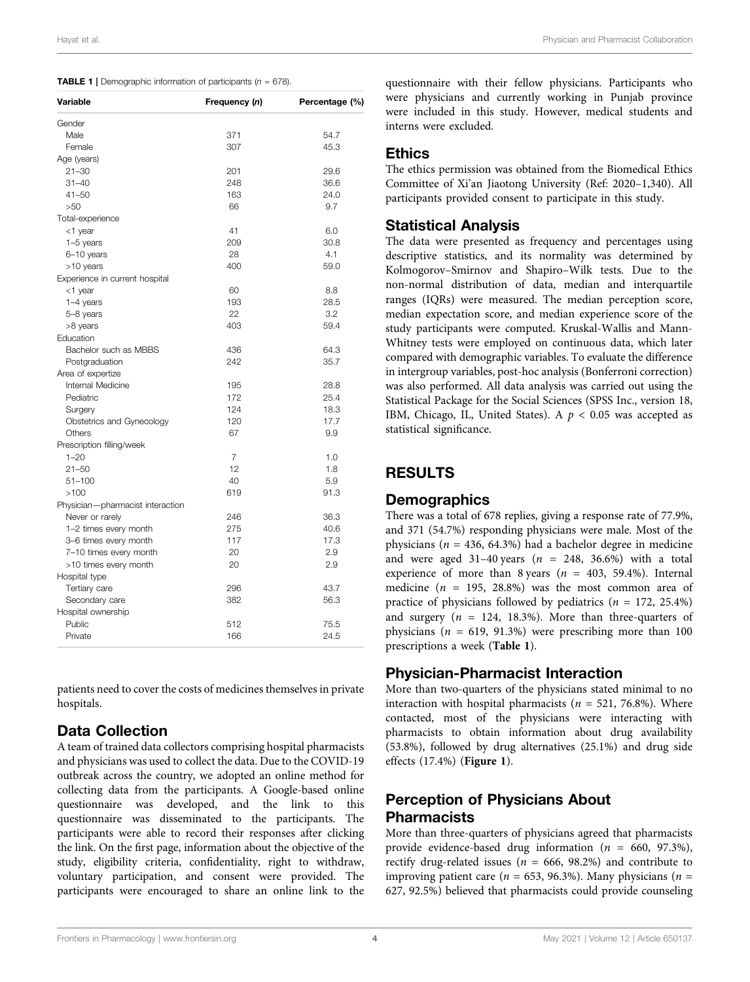<span id="page-3-0"></span>

|  | <b>TABLE 1</b>   Demographic information of participants ( $n = 678$ ). |  |  |  |  |  |
|--|-------------------------------------------------------------------------|--|--|--|--|--|
|--|-------------------------------------------------------------------------|--|--|--|--|--|

| Variable                                        | Frequency (n)  | Percentage (%) |
|-------------------------------------------------|----------------|----------------|
| Gender                                          |                |                |
| Male                                            | 371            | 54.7           |
| Female                                          | 307            | 45.3           |
| Age (years)                                     |                |                |
| $21 - 30$                                       | 201            | 29.6           |
| $31 - 40$                                       | 248            | 36.6           |
| $41 - 50$                                       | 163            | 24.0           |
| >50                                             | 66             | 9.7            |
| Total-experience                                |                |                |
| <1 year                                         | 41             | 6.0            |
| 1-5 years                                       | 209            | 30.8           |
| 6-10 years                                      | 28             | 4.1            |
| >10 years                                       | 400            | 59.0           |
| Experience in current hospital                  |                |                |
| <1 year                                         | 60             | 8.8            |
| $1-4$ years                                     | 193            | 28.5           |
| 5-8 years                                       | 22             | 3.2            |
| >8 years                                        | 403            | 59.4           |
| Education                                       |                |                |
| Bachelor such as MBBS                           | 436            | 64.3           |
| Postgraduation                                  | 242            | 35.7           |
| Area of expertize                               |                |                |
| Internal Medicine                               | 195            | 28.8           |
| Pediatric                                       | 172            | 25.4           |
| Surgery                                         | 124            | 18.3           |
| Obstetrics and Gynecology                       | 120            | 17.7           |
| Others                                          | 67             | 9.9            |
| Prescription filling/week                       |                |                |
| $1 - 20$                                        | $\overline{7}$ | 1.0            |
| $21 - 50$                                       | 12             | 1.8            |
| $51 - 100$                                      | 40             | 5.9            |
| >100                                            | 619            | 91.3           |
| Physician-pharmacist interaction                |                |                |
| Never or rarely                                 | 246            | 36.3           |
| 1-2 times every month                           | 275            | 40.6           |
| 3-6 times every month                           | 117            | 17.3           |
|                                                 | 20             | 2.9            |
| 7-10 times every month<br>>10 times every month | 20             | 2.9            |
|                                                 |                |                |
| Hospital type                                   | 296            | 43.7           |
| Tertiary care                                   |                |                |
| Secondary care                                  | 382            | 56.3           |
| Hospital ownership                              |                |                |
| Public                                          | 512            | 75.5           |
| Private                                         | 166            | 24.5           |

patients need to cover the costs of medicines themselves in private hospitals.

### Data Collection

A team of trained data collectors comprising hospital pharmacists and physicians was used to collect the data. Due to the COVID-19 outbreak across the country, we adopted an online method for collecting data from the participants. A Google-based online questionnaire was developed, and the link to this questionnaire was disseminated to the participants. The participants were able to record their responses after clicking the link. On the first page, information about the objective of the study, eligibility criteria, confidentiality, right to withdraw, voluntary participation, and consent were provided. The participants were encouraged to share an online link to the

questionnaire with their fellow physicians. Participants who were physicians and currently working in Punjab province were included in this study. However, medical students and interns were excluded.

#### **Ethics**

The ethics permission was obtained from the Biomedical Ethics Committee of Xi'an Jiaotong University (Ref: 2020–1,340). All participants provided consent to participate in this study.

### Statistical Analysis

The data were presented as frequency and percentages using descriptive statistics, and its normality was determined by Kolmogorov–Smirnov and Shapiro–Wilk tests. Due to the non-normal distribution of data, median and interquartile ranges (IQRs) were measured. The median perception score, median expectation score, and median experience score of the study participants were computed. Kruskal-Wallis and Mann-Whitney tests were employed on continuous data, which later compared with demographic variables. To evaluate the difference in intergroup variables, post-hoc analysis (Bonferroni correction) was also performed. All data analysis was carried out using the Statistical Package for the Social Sciences (SPSS Inc., version 18, IBM, Chicago, IL, United States). A  $p < 0.05$  was accepted as statistical significance.

## RESULTS

### **Demographics**

There was a total of 678 replies, giving a response rate of 77.9%, and 371 (54.7%) responding physicians were male. Most of the physicians ( $n = 436, 64.3\%$ ) had a bachelor degree in medicine and were aged 31-40 years ( $n = 248, 36.6%$ ) with a total experience of more than 8 years ( $n = 403, 59.4\%$ ). Internal medicine ( $n = 195, 28.8\%$ ) was the most common area of practice of physicians followed by pediatrics ( $n = 172, 25.4\%$ ) and surgery ( $n = 124, 18.3\%$ ). More than three-quarters of physicians ( $n = 619, 91.3\%$ ) were prescribing more than 100 prescriptions a week ([Table 1](#page-3-0)).

### Physician-Pharmacist Interaction

More than two-quarters of the physicians stated minimal to no interaction with hospital pharmacists ( $n = 521, 76.8\%$ ). Where contacted, most of the physicians were interacting with pharmacists to obtain information about drug availability (53.8%), followed by drug alternatives (25.1%) and drug side effects (17.4%) ([Figure 1](#page-4-0)).

### Perception of Physicians About **Pharmacists**

More than three-quarters of physicians agreed that pharmacists provide evidence-based drug information ( $n = 660, 97.3\%$ ), rectify drug-related issues ( $n = 666, 98.2%$ ) and contribute to improving patient care ( $n = 653, 96.3\%$ ). Many physicians ( $n =$ 627, 92.5%) believed that pharmacists could provide counseling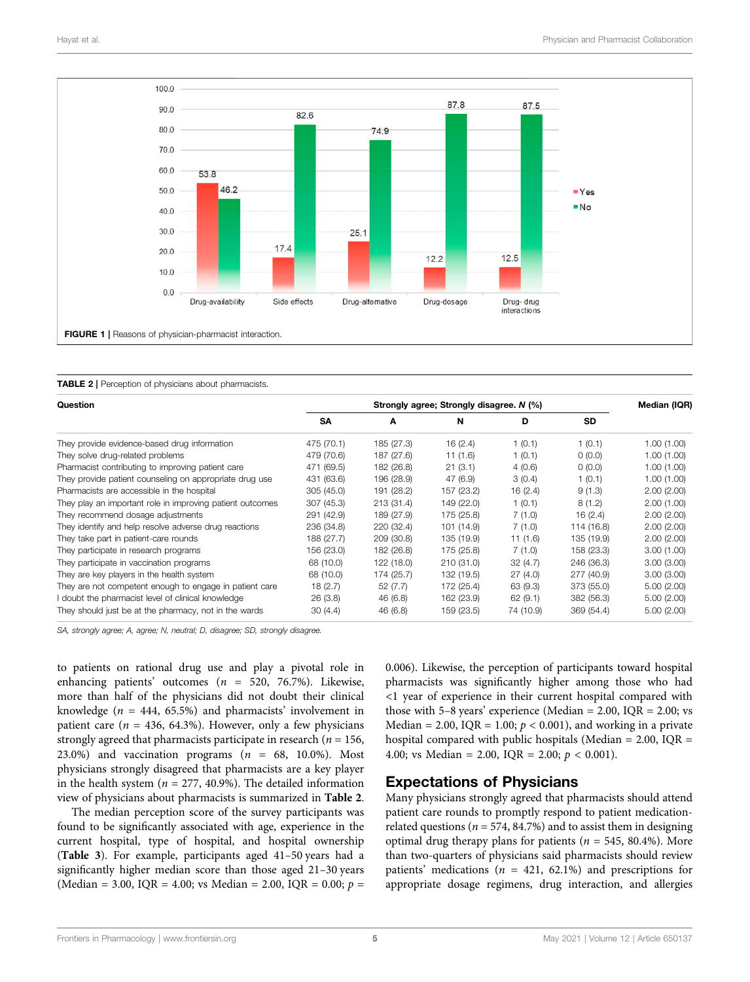

<span id="page-4-1"></span><span id="page-4-0"></span>

|  |  | <b>TABLE 2</b>   Perception of physicians about pharmacists. |  |  |
|--|--|--------------------------------------------------------------|--|--|
|--|--|--------------------------------------------------------------|--|--|

| Question                                                  |            | Median (IQR) |            |           |            |            |
|-----------------------------------------------------------|------------|--------------|------------|-----------|------------|------------|
|                                                           | <b>SA</b>  | A            | N          | D         | <b>SD</b>  |            |
| They provide evidence-based drug information              | 475 (70.1) | 185 (27.3)   | 16(2.4)    | 1(0.1)    | 1(0.1)     | 1.00(1.00) |
| They solve drug-related problems                          | 479 (70.6) | 187 (27.6)   | 11 (1.6)   | 1(0.1)    | 0(0.0)     | 1.00(1.00) |
| Pharmacist contributing to improving patient care         | 471 (69.5) | 182 (26.8)   | 21(3.1)    | 4(0.6)    | 0(0.0)     | 1.00(1.00) |
| They provide patient counseling on appropriate drug use   | 431 (63.6) | 196 (28.9)   | 47 (6.9)   | 3(0.4)    | 1(0.1)     | 1.00(1.00) |
| Pharmacists are accessible in the hospital                | 305 (45.0) | 191 (28.2)   | 157 (23.2) | 16 (2.4)  | 9(1.3)     | 2.00(2.00) |
| They play an important role in improving patient outcomes | 307 (45.3) | 213 (31.4)   | 149 (22.0) | 1(0.1)    | 8(1.2)     | 2.00(1.00) |
| They recommend dosage adjustments                         | 291 (42.9) | 189 (27.9)   | 175 (25.8) | 7(1.0)    | 16(2.4)    | 2.00(2.00) |
| They identify and help resolve adverse drug reactions     | 236 (34.8) | 220 (32.4)   | 101 (14.9) | 7(1.0)    | 114 (16.8) | 2.00(2.00) |
| They take part in patient-care rounds                     | 188 (27.7) | 209 (30.8)   | 135 (19.9) | 11 (1.6)  | 135 (19.9) | 2.00(2.00) |
| They participate in research programs                     | 156 (23.0) | 182 (26.8)   | 175 (25.8) | 7(1.0)    | 158 (23.3) | 3.00(1.00) |
| They participate in vaccination programs                  | 68 (10.0)  | 122 (18.0)   | 210 (31.0) | 32(4.7)   | 246 (36.3) | 3.00(3.00) |
| They are key players in the health system                 | 68 (10.0)  | 174 (25.7)   | 132 (19.5) | 27(4.0)   | 277 (40.9) | 3.00(3.00) |
| They are not competent enough to engage in patient care   | 18(2.7)    | 52(7.7)      | 172 (25.4) | 63 (9.3)  | 373 (55.0) | 5.00(2.00) |
| I doubt the pharmacist level of clinical knowledge        | 26(3.8)    | 46 (6.8)     | 162 (23.9) | 62(9.1)   | 382 (56.3) | 5.00(2.00) |
| They should just be at the pharmacy, not in the wards     | 30(4.4)    | 46 (6.8)     | 159 (23.5) | 74 (10.9) | 369 (54.4) | 5.00(2.00) |

SA, strongly agree; A, agree; N, neutral; D, disagree; SD, strongly disagree.

to patients on rational drug use and play a pivotal role in enhancing patients' outcomes ( $n = 520, 76.7\%$ ). Likewise, more than half of the physicians did not doubt their clinical knowledge ( $n = 444, 65.5%$ ) and pharmacists' involvement in patient care ( $n = 436, 64.3\%$ ). However, only a few physicians strongly agreed that pharmacists participate in research ( $n = 156$ , 23.0%) and vaccination programs  $(n = 68, 10.0\%)$ . Most physicians strongly disagreed that pharmacists are a key player in the health system ( $n = 277, 40.9\%$ ). The detailed information view of physicians about pharmacists is summarized in [Table 2](#page-4-1).

The median perception score of the survey participants was found to be significantly associated with age, experience in the current hospital, type of hospital, and hospital ownership ([Table 3](#page-5-0)). For example, participants aged 41–50 years had a significantly higher median score than those aged 21–30 years (Median = 3.00, IQR = 4.00; vs Median = 2.00, IQR = 0.00;  $p =$  0.006). Likewise, the perception of participants toward hospital pharmacists was significantly higher among those who had <1 year of experience in their current hospital compared with those with 5–8 years' experience (Median  $= 2.00$ , IQR  $= 2.00$ ; vs Median = 2.00, IQR = 1.00;  $p < 0.001$ ), and working in a private hospital compared with public hospitals (Median  $= 2.00$ , IQR  $=$ 4.00; vs Median = 2.00, IQR = 2.00;  $p < 0.001$ ).

#### Expectations of Physicians

Many physicians strongly agreed that pharmacists should attend patient care rounds to promptly respond to patient medicationrelated questions ( $n = 574, 84.7\%$ ) and to assist them in designing optimal drug therapy plans for patients ( $n = 545, 80.4\%$ ). More than two-quarters of physicians said pharmacists should review patients' medications ( $n = 421, 62.1\%$ ) and prescriptions for appropriate dosage regimens, drug interaction, and allergies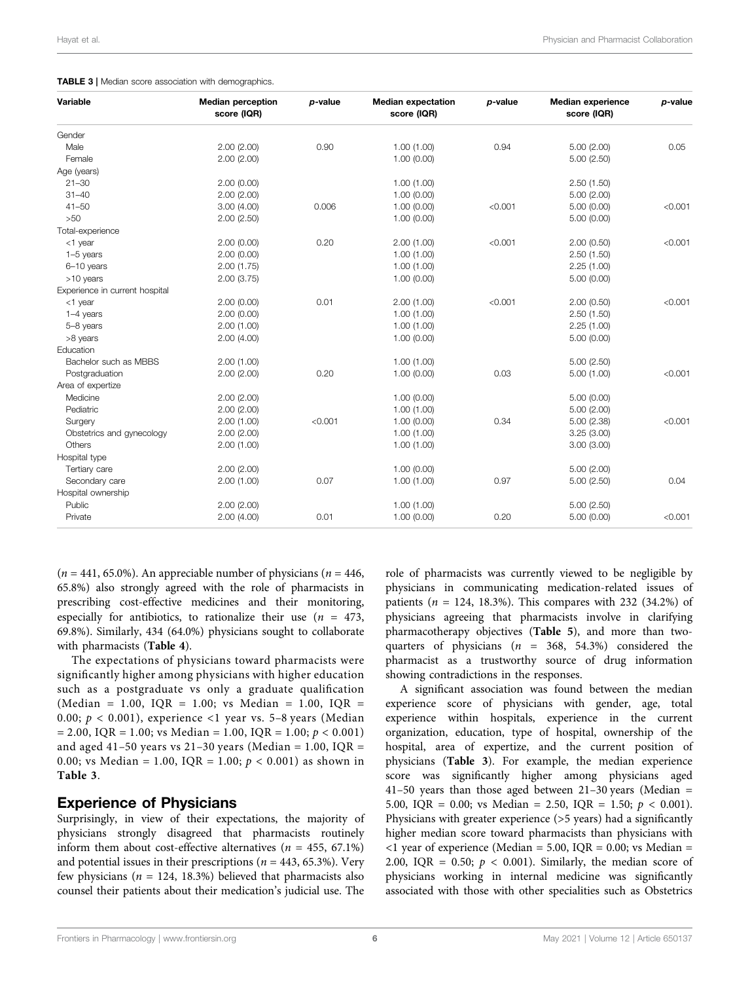#### <span id="page-5-0"></span>TABLE 3 | Median score association with demographics.

| Variable                       | <b>Median perception</b><br>score (IQR) | p-value | <b>Median expectation</b><br>score (IQR) | p-value | <b>Median experience</b><br>score (IQR) | p-value |
|--------------------------------|-----------------------------------------|---------|------------------------------------------|---------|-----------------------------------------|---------|
| Gender                         |                                         |         |                                          |         |                                         |         |
| Male                           | 2.00(2.00)                              | 0.90    | 1.00(1.00)                               | 0.94    | 5.00(2.00)                              | 0.05    |
| Female                         | 2.00(2.00)                              |         | 1.00(0.00)                               |         | 5.00(2.50)                              |         |
| Age (years)                    |                                         |         |                                          |         |                                         |         |
| $21 - 30$                      | 2.00(0.00)                              |         | 1.00(1.00)                               |         | 2.50(1.50)                              |         |
| $31 - 40$                      | 2.00(2.00)                              |         | 1.00(0.00)                               |         | 5.00(2.00)                              |         |
| $41 - 50$                      | 3.00(4.00)                              | 0.006   | 1.00(0.00)                               | < 0.001 | 5.00(0.00)                              | < 0.001 |
| >50                            | 2.00(2.50)                              |         | 1.00(0.00)                               |         | 5.00(0.00)                              |         |
| Total-experience               |                                         |         |                                          |         |                                         |         |
| <1 year                        | 2.00(0.00)                              | 0.20    | 2.00(1.00)                               | < 0.001 | 2.00(0.50)                              | < 0.001 |
| $1-5$ years                    | 2.00(0.00)                              |         | 1.00(1.00)                               |         | 2.50(1.50)                              |         |
| 6-10 years                     | 2.00(1.75)                              |         | 1.00(1.00)                               |         | 2.25(1.00)                              |         |
| >10 years                      | 2.00(3.75)                              |         | 1.00(0.00)                               |         | 5.00(0.00)                              |         |
| Experience in current hospital |                                         |         |                                          |         |                                         |         |
| $<$ 1 year                     | 2.00(0.00)                              | 0.01    | 2.00(1.00)                               | < 0.001 | 2.00(0.50)                              | < 0.001 |
| $1-4$ years                    | 2.00(0.00)                              |         | 1.00(1.00)                               |         | 2.50(1.50)                              |         |
| 5-8 years                      | 2.00(1.00)                              |         | 1.00(1.00)                               |         | 2.25(1.00)                              |         |
| >8 years                       | 2.00(4.00)                              |         | 1.00(0.00)                               |         | 5.00(0.00)                              |         |
| Education                      |                                         |         |                                          |         |                                         |         |
| Bachelor such as MBBS          | 2.00(1.00)                              |         | 1.00(1.00)                               |         | 5.00(2.50)                              |         |
| Postgraduation                 | 2.00(2.00)                              | 0.20    | 1.00(0.00)                               | 0.03    | 5.00(1.00)                              | < 0.001 |
| Area of expertize              |                                         |         |                                          |         |                                         |         |
| Medicine                       | 2.00(2.00)                              |         | 1.00(0.00)                               |         | 5.00(0.00)                              |         |
| Pediatric                      | 2.00(2.00)                              |         | 1.00(1.00)                               |         | 5.00(2.00)                              |         |
| Surgery                        | 2.00(1.00)                              | < 0.001 | 1.00(0.00)                               | 0.34    | 5.00(2.38)                              | < 0.001 |
| Obstetrics and gynecology      | 2.00(2.00)                              |         | 1.00(1.00)                               |         | 3.25(3.00)                              |         |
| <b>Others</b>                  | 2.00(1.00)                              |         | 1.00(1.00)                               |         | 3.00(3.00)                              |         |
| Hospital type                  |                                         |         |                                          |         |                                         |         |
| Tertiary care                  | 2.00(2.00)                              |         | 1.00(0.00)                               |         | 5.00(2.00)                              |         |
| Secondary care                 | 2.00(1.00)                              | 0.07    | 1.00(1.00)                               | 0.97    | 5.00(2.50)                              | 0.04    |
| Hospital ownership             |                                         |         |                                          |         |                                         |         |
| Public                         | 2.00(2.00)                              |         | 1.00(1.00)                               |         | 5.00(2.50)                              |         |
| Private                        | 2.00(4.00)                              | 0.01    | 1.00(0.00)                               | 0.20    | 5.00(0.00)                              | < 0.001 |

 $(n = 441, 65.0\%)$ . An appreciable number of physicians  $(n = 446,$ 65.8%) also strongly agreed with the role of pharmacists in prescribing cost-effective medicines and their monitoring, especially for antibiotics, to rationalize their use  $(n = 473,$ 69.8%). Similarly, 434 (64.0%) physicians sought to collaborate with pharmacists ([Table 4](#page-6-0)).

The expectations of physicians toward pharmacists were significantly higher among physicians with higher education such as a postgraduate vs only a graduate qualification (Median = 1.00, IQR = 1.00; vs Median = 1.00, IQR = 0.00;  $p < 0.001$ ), experience <1 year vs. 5-8 years (Median  $= 2.00$ , IQR  $= 1.00$ ; vs Median  $= 1.00$ , IQR  $= 1.00$ ;  $p < 0.001$ ) and aged 41-50 years vs 21-30 years (Median =  $1.00$ , IQR = 0.00; vs Median = 1.00, IQR = 1.00;  $p < 0.001$ ) as shown in [Table 3](#page-5-0).

#### Experience of Physicians

Surprisingly, in view of their expectations, the majority of physicians strongly disagreed that pharmacists routinely inform them about cost-effective alternatives ( $n = 455, 67.1\%$ ) and potential issues in their prescriptions ( $n = 443, 65.3\%$ ). Very few physicians ( $n = 124, 18.3\%)$  believed that pharmacists also counsel their patients about their medication's judicial use. The

role of pharmacists was currently viewed to be negligible by physicians in communicating medication-related issues of patients ( $n = 124, 18.3\%$ ). This compares with 232 (34.2%) of physicians agreeing that pharmacists involve in clarifying pharmacotherapy objectives ([Table 5](#page-6-1)), and more than twoquarters of physicians ( $n = 368, 54.3\%$ ) considered the pharmacist as a trustworthy source of drug information showing contradictions in the responses.

A significant association was found between the median experience score of physicians with gender, age, total experience within hospitals, experience in the current organization, education, type of hospital, ownership of the hospital, area of expertize, and the current position of physicians ([Table 3](#page-5-0)). For example, the median experience score was significantly higher among physicians aged 41–50 years than those aged between 21–30 years (Median  $=$ 5.00, IQR = 0.00; vs Median = 2.50, IQR = 1.50;  $p < 0.001$ ). Physicians with greater experience (>5 years) had a significantly higher median score toward pharmacists than physicians with  $\langle$ 1 year of experience (Median = 5.00, IQR = 0.00; vs Median = 2.00, IQR = 0.50;  $p < 0.001$ ). Similarly, the median score of physicians working in internal medicine was significantly associated with those with other specialities such as Obstetrics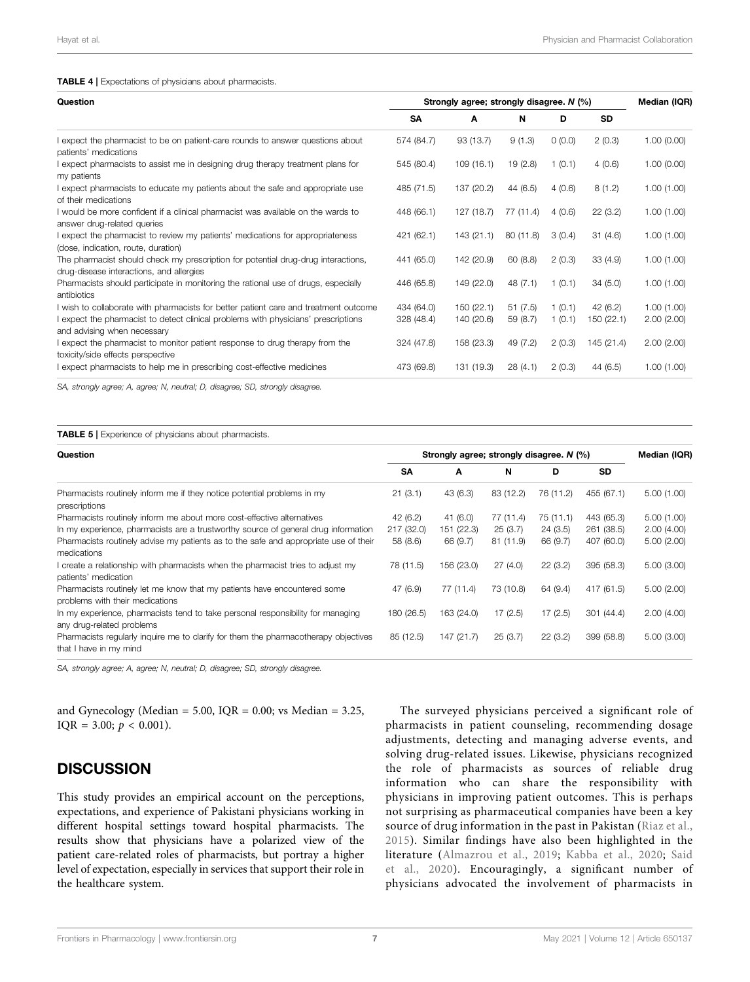#### <span id="page-6-0"></span>TABLE 4 | Expectations of physicians about pharmacists.

| Question                                                                                                                      | Strongly agree; strongly disagree. N (%) | Median (IQR) |           |        |            |            |
|-------------------------------------------------------------------------------------------------------------------------------|------------------------------------------|--------------|-----------|--------|------------|------------|
|                                                                                                                               | SΑ                                       | A            | N         | D      | <b>SD</b>  |            |
| I expect the pharmacist to be on patient-care rounds to answer questions about<br>patients' medications                       | 574 (84.7)                               | 93 (13.7)    | 9(1.3)    | 0(0.0) | 2(0.3)     | 1.00(0.00) |
| I expect pharmacists to assist me in designing drug therapy treatment plans for<br>my patients                                | 545 (80.4)                               | 109(16.1)    | 19(2.8)   | 1(0.1) | 4(0.6)     | 1.00(0.00) |
| I expect pharmacists to educate my patients about the safe and appropriate use<br>of their medications                        | 485 (71.5)                               | 137 (20.2)   | 44(6.5)   | 4(0.6) | 8(1.2)     | 1.00(1.00) |
| I would be more confident if a clinical pharmacist was available on the wards to<br>answer drug-related queries               | 448 (66.1)                               | 127 (18.7)   | 77 (11.4) | 4(0.6) | 22(3.2)    | 1.00(1.00) |
| I expect the pharmacist to review my patients' medications for appropriateness<br>(dose, indication, route, duration)         | 421 (62.1)                               | 143(21.1)    | 80 (11.8) | 3(0.4) | 31(4.6)    | 1.00(1.00) |
| The pharmacist should check my prescription for potential drug-drug interactions,<br>drug-disease interactions, and allergies | 441 (65.0)                               | 142 (20.9)   | 60(8.8)   | 2(0.3) | 33(4.9)    | 1.00(1.00) |
| Pharmacists should participate in monitoring the rational use of drugs, especially<br>antibiotics                             | 446 (65.8)                               | 149 (22.0)   | 48 (7.1)  | 1(0.1) | 34(5.0)    | 1.00(1.00) |
| I wish to collaborate with pharmacists for better patient care and treatment outcome                                          | 434 (64.0)                               | 150(22.1)    | 51(7.5)   | 1(0.1) | 42 (6.2)   | 1.00(1.00) |
| I expect the pharmacist to detect clinical problems with physicians' prescriptions<br>and advising when necessary             | 328 (48.4)                               | 140 (20.6)   | 59 (8.7)  | 1(0.1) | 150 (22.1) | 2.00(2.00) |
| I expect the pharmacist to monitor patient response to drug therapy from the<br>toxicity/side effects perspective             | 324 (47.8)                               | 158 (23.3)   | 49 (7.2)  | 2(0.3) | 145 (21.4) | 2.00(2.00) |
| I expect pharmacists to help me in prescribing cost-effective medicines                                                       | 473 (69.8)                               | 131 (19.3)   | 28(4.1)   | 2(0.3) | 44 (6.5)   | 1.00(1.00) |

SA, strongly agree; A, agree; N, neutral; D, disagree; SD, strongly disagree.

#### <span id="page-6-1"></span>TABLE 5 | Experience of physicians about pharmacists.

| Question                                                                                                      | Strongly agree; strongly disagree. N (%) |            |           |           |            |            |
|---------------------------------------------------------------------------------------------------------------|------------------------------------------|------------|-----------|-----------|------------|------------|
|                                                                                                               | SΑ                                       | A          | N         | D         | <b>SD</b>  |            |
| Pharmacists routinely inform me if they notice potential problems in my<br>prescriptions                      | 21(3.1)                                  | 43 (6.3)   | 83 (12.2) | 76 (11.2) | 455 (67.1) | 5.00(1.00) |
| Pharmacists routinely inform me about more cost-effective alternatives                                        | 42 (6.2)                                 | 41(6.0)    | 77 (11.4) | 75 (11.1) | 443 (65.3) | 5.00(1.00) |
| In my experience, pharmacists are a trustworthy source of general drug information                            | 217 (32.0)                               | 151 (22.3) | 25(3.7)   | 24(3.5)   | 261 (38.5) | 2.00(4.00) |
| Pharmacists routinely advise my patients as to the safe and appropriate use of their<br>medications           | 58 (8.6)                                 | 66 (9.7)   | 81 (11.9) | 66 (9.7)  | 407 (60.0) | 5.00(2.00) |
| I create a relationship with pharmacists when the pharmacist tries to adjust my<br>patients' medication       | 78 (11.5)                                | 156 (23.0) | 27(4.0)   | 22(3.2)   | 395 (58.3) | 5.00(3.00) |
| Pharmacists routinely let me know that my patients have encountered some<br>problems with their medications   | 47 (6.9)                                 | 77 (11.4)  | 73 (10.8) | 64 (9.4)  | 417 (61.5) | 5.00(2.00) |
| In my experience, pharmacists tend to take personal responsibility for managing<br>any drug-related problems  | 180 (26.5)                               | 163 (24.0) | 17(2.5)   | 17(2.5)   | 301(44.4)  | 2.00(4.00) |
| Pharmacists reqularly inquire me to clarify for them the pharmacotherapy objectives<br>that I have in my mind | 85 (12.5)                                | 147 (21.7) | 25(3.7)   | 22(3.2)   | 399 (58.8) | 5.00(3.00) |

SA, strongly agree; A, agree; N, neutral; D, disagree; SD, strongly disagree.

and Gynecology (Median = 5.00, IQR = 0.00; vs Median = 3.25, IQR = 3.00;  $p < 0.001$ ).

### **DISCUSSION**

This study provides an empirical account on the perceptions, expectations, and experience of Pakistani physicians working in different hospital settings toward hospital pharmacists. The results show that physicians have a polarized view of the patient care-related roles of pharmacists, but portray a higher level of expectation, especially in services that support their role in the healthcare system.

The surveyed physicians perceived a significant role of pharmacists in patient counseling, recommending dosage adjustments, detecting and managing adverse events, and solving drug-related issues. Likewise, physicians recognized the role of pharmacists as sources of reliable drug information who can share the responsibility with physicians in improving patient outcomes. This is perhaps not surprising as pharmaceutical companies have been a key source of drug information in the past in Pakistan [\(Riaz et al.,](#page-9-32) [2015](#page-9-32)). Similar findings have also been highlighted in the literature [\(Almazrou et al., 2019;](#page-8-21) [Kabba et al., 2020](#page-9-24); [Said](#page-9-33) [et al., 2020\)](#page-9-33). Encouragingly, a significant number of physicians advocated the involvement of pharmacists in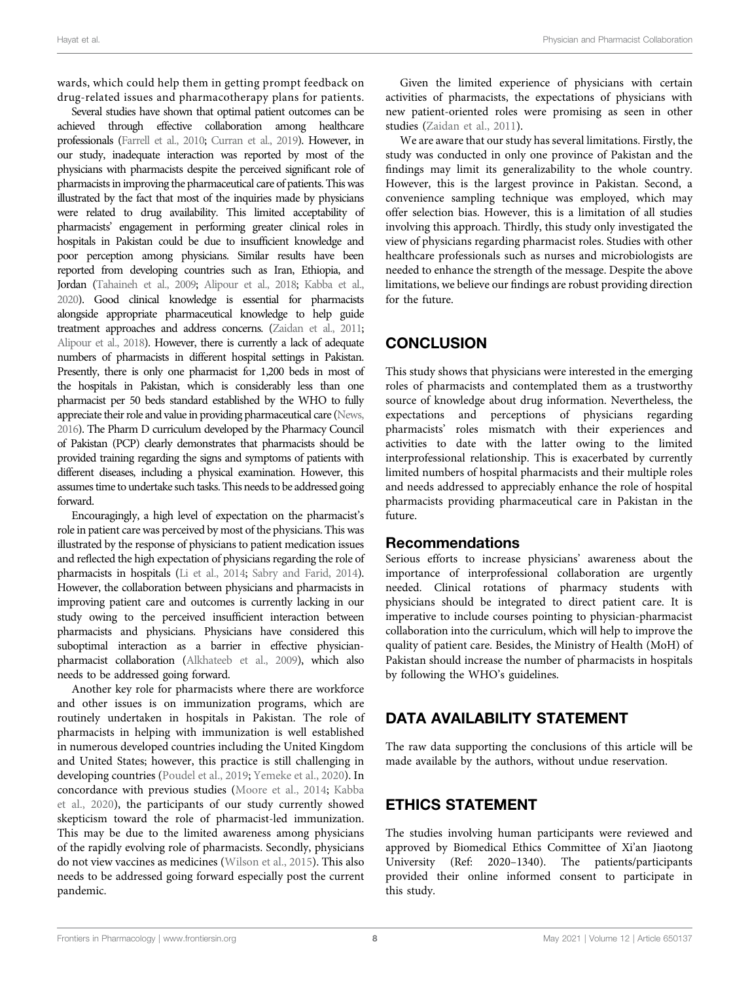wards, which could help them in getting prompt feedback on drug-related issues and pharmacotherapy plans for patients.

Several studies have shown that optimal patient outcomes can be achieved through effective collaboration among healthcare professionals [\(Farrell et al., 2010](#page-8-22); [Curran et al., 2019](#page-8-23)). However, in our study, inadequate interaction was reported by most of the physicians with pharmacists despite the perceived significant role of pharmacists in improving the pharmaceutical care of patients. This was illustrated by the fact that most of the inquiries made by physicians were related to drug availability. This limited acceptability of pharmacists' engagement in performing greater clinical roles in hospitals in Pakistan could be due to insufficient knowledge and poor perception among physicians. Similar results have been reported from developing countries such as Iran, Ethiopia, and Jordan [\(Tahaineh et al., 2009;](#page-9-30) [Alipour et al., 2018](#page-8-14); [Kabba et al.,](#page-9-24) [2020](#page-9-24)). Good clinical knowledge is essential for pharmacists alongside appropriate pharmaceutical knowledge to help guide treatment approaches and address concerns. [\(Zaidan et al., 2011](#page-10-3); [Alipour et al., 2018\)](#page-8-14). However, there is currently a lack of adequate numbers of pharmacists in different hospital settings in Pakistan. Presently, there is only one pharmacist for 1,200 beds in most of the hospitals in Pakistan, which is considerably less than one pharmacist per 50 beds standard established by the WHO to fully appreciate their role and value in providing pharmaceutical care [\(News,](#page-9-34) [2016](#page-9-34)). The Pharm D curriculum developed by the Pharmacy Council of Pakistan (PCP) clearly demonstrates that pharmacists should be provided training regarding the signs and symptoms of patients with different diseases, including a physical examination. However, this assumes time to undertake such tasks. This needs to be addressed going forward.

Encouragingly, a high level of expectation on the pharmacist's role in patient care was perceived by most of the physicians. This was illustrated by the response of physicians to patient medication issues and reflected the high expectation of physicians regarding the role of pharmacists in hospitals [\(Li et al., 2014;](#page-9-35) [Sabry and Farid, 2014](#page-9-36)). However, the collaboration between physicians and pharmacists in improving patient care and outcomes is currently lacking in our study owing to the perceived insufficient interaction between pharmacists and physicians. Physicians have considered this suboptimal interaction as a barrier in effective physicianpharmacist collaboration [\(Alkhateeb et al., 2009](#page-8-17)), which also needs to be addressed going forward.

Another key role for pharmacists where there are workforce and other issues is on immunization programs, which are routinely undertaken in hospitals in Pakistan. The role of pharmacists in helping with immunization is well established in numerous developed countries including the United Kingdom and United States; however, this practice is still challenging in developing countries ([Poudel et al., 2019](#page-9-37); [Yemeke et al., 2020](#page-10-4)). In concordance with previous studies ([Moore et al., 2014](#page-9-38); [Kabba](#page-9-24) [et al., 2020](#page-9-24)), the participants of our study currently showed skepticism toward the role of pharmacist-led immunization. This may be due to the limited awareness among physicians of the rapidly evolving role of pharmacists. Secondly, physicians do not view vaccines as medicines [\(Wilson et al., 2015\)](#page-10-5). This also needs to be addressed going forward especially post the current pandemic.

Given the limited experience of physicians with certain activities of pharmacists, the expectations of physicians with new patient-oriented roles were promising as seen in other studies ([Zaidan et al., 2011](#page-10-3)).

We are aware that our study has several limitations. Firstly, the study was conducted in only one province of Pakistan and the findings may limit its generalizability to the whole country. However, this is the largest province in Pakistan. Second, a convenience sampling technique was employed, which may offer selection bias. However, this is a limitation of all studies involving this approach. Thirdly, this study only investigated the view of physicians regarding pharmacist roles. Studies with other healthcare professionals such as nurses and microbiologists are needed to enhance the strength of the message. Despite the above limitations, we believe our findings are robust providing direction for the future.

# **CONCLUSION**

This study shows that physicians were interested in the emerging roles of pharmacists and contemplated them as a trustworthy source of knowledge about drug information. Nevertheless, the expectations and perceptions of physicians regarding pharmacists' roles mismatch with their experiences and activities to date with the latter owing to the limited interprofessional relationship. This is exacerbated by currently limited numbers of hospital pharmacists and their multiple roles and needs addressed to appreciably enhance the role of hospital pharmacists providing pharmaceutical care in Pakistan in the future.

#### Recommendations

Serious efforts to increase physicians' awareness about the importance of interprofessional collaboration are urgently needed. Clinical rotations of pharmacy students with physicians should be integrated to direct patient care. It is imperative to include courses pointing to physician-pharmacist collaboration into the curriculum, which will help to improve the quality of patient care. Besides, the Ministry of Health (MoH) of Pakistan should increase the number of pharmacists in hospitals by following the WHO's guidelines.

# DATA AVAILABILITY STATEMENT

The raw data supporting the conclusions of this article will be made available by the authors, without undue reservation.

# ETHICS STATEMENT

The studies involving human participants were reviewed and approved by Biomedical Ethics Committee of Xi'an Jiaotong University (Ref: 2020–1340). The patients/participants provided their online informed consent to participate in this study.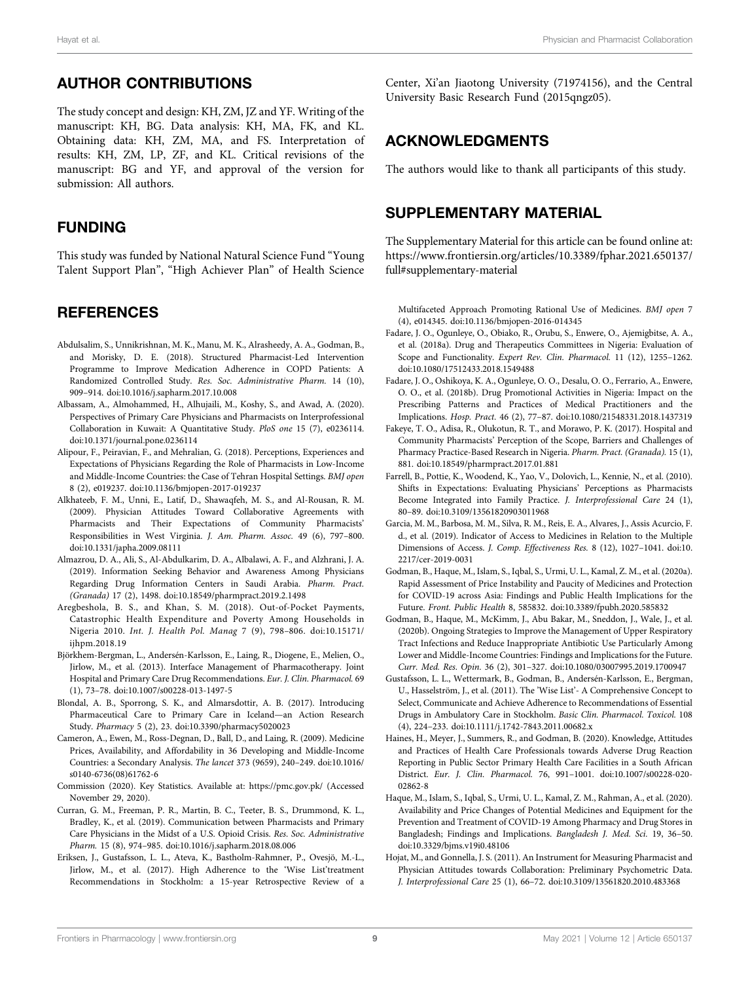### AUTHOR CONTRIBUTIONS

The study concept and design: KH, ZM, JZ and YF. Writing of the manuscript: KH, BG. Data analysis: KH, MA, FK, and KL. Obtaining data: KH, ZM, MA, and FS. Interpretation of results: KH, ZM, LP, ZF, and KL. Critical revisions of the manuscript: BG and YF, and approval of the version for submission: All authors.

### FUNDING

This study was funded by National Natural Science Fund "Young Talent Support Plan", "High Achiever Plan" of Health Science

#### **REFERENCES**

- <span id="page-8-8"></span>Abdulsalim, S., Unnikrishnan, M. K., Manu, M. K., Alrasheedy, A. A., Godman, B., and Morisky, D. E. (2018). Structured Pharmacist-Led Intervention Programme to Improve Medication Adherence in COPD Patients: A Randomized Controlled Study. Res. Soc. Administrative Pharm. 14 (10), 909–914. doi:[10.1016/j.sapharm.2017.10.008](https://doi.org/10.1016/j.sapharm.2017.10.008)
- <span id="page-8-11"></span>Albassam, A., Almohammed, H., Alhujaili, M., Koshy, S., and Awad, A. (2020). Perspectives of Primary Care Physicians and Pharmacists on Interprofessional Collaboration in Kuwait: A Quantitative Study. PloS one 15 (7), e0236114. doi:[10.1371/journal.pone.0236114](https://doi.org/10.1371/journal.pone.0236114)
- <span id="page-8-14"></span>Alipour, F., Peiravian, F., and Mehralian, G. (2018). Perceptions, Experiences and Expectations of Physicians Regarding the Role of Pharmacists in Low-Income and Middle-Income Countries: the Case of Tehran Hospital Settings. BMJ open 8 (2), e019237. doi[:10.1136/bmjopen-2017-019237](https://doi.org/10.1136/bmjopen-2017-019237)
- <span id="page-8-17"></span>Alkhateeb, F. M., Unni, E., Latif, D., Shawaqfeh, M. S., and Al-Rousan, R. M. (2009). Physician Attitudes Toward Collaborative Agreements with Pharmacists and Their Expectations of Community Pharmacists' Responsibilities in West Virginia. J. Am. Pharm. Assoc. 49 (6), 797–800. doi:[10.1331/japha.2009.08111](https://doi.org/10.1331/japha.2009.08111)
- <span id="page-8-21"></span>Almazrou, D. A., Ali, S., Al-Abdulkarim, D. A., Albalawi, A. F., and Alzhrani, J. A. (2019). Information Seeking Behavior and Awareness Among Physicians Regarding Drug Information Centers in Saudi Arabia. Pharm. Pract. (Granada) 17 (2), 1498. doi[:10.18549/pharmpract.2019.2.1498](https://doi.org/10.18549/pharmpract.2019.2.1498)
- <span id="page-8-5"></span>Aregbeshola, B. S., and Khan, S. M. (2018). Out-of-Pocket Payments, Catastrophic Health Expenditure and Poverty Among Households in Nigeria 2010. Int. J. Health Pol. Manag 7 (9), 798–806. doi[:10.15171/](https://doi.org/10.15171/ijhpm.2018.19) [ijhpm.2018.19](https://doi.org/10.15171/ijhpm.2018.19)
- <span id="page-8-2"></span>Björkhem-Bergman, L., Andersén-Karlsson, E., Laing, R., Diogene, E., Melien, O., Jirlow, M., et al. (2013). Interface Management of Pharmacotherapy. Joint Hospital and Primary Care Drug Recommendations. Eur. J. Clin. Pharmacol. 69 (1), 73–78. doi:[10.1007/s00228-013-1497-5](https://doi.org/10.1007/s00228-013-1497-5)
- <span id="page-8-13"></span>Blondal, A. B., Sporrong, S. K., and Almarsdottir, A. B. (2017). Introducing Pharmaceutical Care to Primary Care in Iceland—an Action Research Study. Pharmacy 5 (2), 23. doi[:10.3390/pharmacy5020023](https://doi.org/10.3390/pharmacy5020023)
- <span id="page-8-4"></span>Cameron, A., Ewen, M., Ross-Degnan, D., Ball, D., and Laing, R. (2009). Medicine Prices, Availability, and Affordability in 36 Developing and Middle-Income Countries: a Secondary Analysis. The lancet 373 (9659), 240–249. doi:[10.1016/](https://doi.org/10.1016/s0140-6736(08)61762-6) [s0140-6736\(08\)61762-6](https://doi.org/10.1016/s0140-6736(08)61762-6)
- <span id="page-8-20"></span>Commission (2020). Key Statistics. Available at:<https://pmc.gov.pk/> (Accessed November 29, 2020).
- <span id="page-8-23"></span>Curran, G. M., Freeman, P. R., Martin, B. C., Teeter, B. S., Drummond, K. L., Bradley, K., et al. (2019). Communication between Pharmacists and Primary Care Physicians in the Midst of a U.S. Opioid Crisis. Res. Soc. Administrative Pharm. 15 (8), 974–985. doi:[10.1016/j.sapharm.2018.08.006](https://doi.org/10.1016/j.sapharm.2018.08.006)
- <span id="page-8-3"></span>Eriksen, J., Gustafsson, L. L., Ateva, K., Bastholm-Rahmner, P., Ovesjö, M.-L., Jirlow, M., et al. (2017). High Adherence to the 'Wise List'treatment Recommendations in Stockholm: a 15-year Retrospective Review of a

Center, Xi'an Jiaotong University (71974156), and the Central University Basic Research Fund (2015qngz05).

#### ACKNOWLEDGMENTS

The authors would like to thank all participants of this study.

#### <span id="page-8-18"></span>SUPPLEMENTARY MATERIAL

The Supplementary Material for this article can be found online at: [https://www.frontiersin.org/articles/10.3389/fphar.2021.650137/](https://www.frontiersin.org/articles/10.3389/fphar.2021.650137/full#supplementary-material) [full#supplementary-material](https://www.frontiersin.org/articles/10.3389/fphar.2021.650137/full#supplementary-material)

Multifaceted Approach Promoting Rational Use of Medicines. BMJ open 7 (4), e014345. doi:[10.1136/bmjopen-2016-014345](https://doi.org/10.1136/bmjopen-2016-014345)

- <span id="page-8-15"></span>Fadare, J. O., Ogunleye, O., Obiako, R., Orubu, S., Enwere, O., Ajemigbitse, A. A., et al. (2018a). Drug and Therapeutics Committees in Nigeria: Evaluation of Scope and Functionality. Expert Rev. Clin. Pharmacol. 11 (12), 1255-1262. doi[:10.1080/17512433.2018.1549488](https://doi.org/10.1080/17512433.2018.1549488)
- <span id="page-8-16"></span>Fadare, J. O., Oshikoya, K. A., Ogunleye, O. O., Desalu, O. O., Ferrario, A., Enwere, O. O., et al. (2018b). Drug Promotional Activities in Nigeria: Impact on the Prescribing Patterns and Practices of Medical Practitioners and the Implications. Hosp. Pract. 46 (2), 77–87. doi:[10.1080/21548331.2018.1437319](https://doi.org/10.1080/21548331.2018.1437319)
- <span id="page-8-12"></span>Fakeye, T. O., Adisa, R., Olukotun, R. T., and Morawo, P. K. (2017). Hospital and Community Pharmacists' Perception of the Scope, Barriers and Challenges of Pharmacy Practice-Based Research in Nigeria. Pharm. Pract. (Granada). 15 (1), 881. doi[:10.18549/pharmpract.2017.01.881](https://doi.org/10.18549/pharmpract.2017.01.881)
- <span id="page-8-22"></span>Farrell, B., Pottie, K., Woodend, K., Yao, V., Dolovich, L., Kennie, N., et al. (2010). Shifts in Expectations: Evaluating Physicians' Perceptions as Pharmacists Become Integrated into Family Practice. J. Interprofessional Care 24 (1), 80–89. doi:[10.3109/13561820903011968](https://doi.org/10.3109/13561820903011968)
- <span id="page-8-19"></span>Garcia, M. M., Barbosa, M. M., Silva, R. M., Reis, E. A., Alvares, J., Assis Acurcio, F. d., et al. (2019). Indicator of Access to Medicines in Relation to the Multiple Dimensions of Access. J. Comp. Effectiveness Res. 8 (12), 1027–1041. doi[:10.](https://doi.org/10.2217/cer-2019-0031) [2217/cer-2019-0031](https://doi.org/10.2217/cer-2019-0031)
- <span id="page-8-6"></span>Godman, B., Haque, M., Islam, S., Iqbal, S., Urmi, U. L., Kamal, Z. M., et al. (2020a). Rapid Assessment of Price Instability and Paucity of Medicines and Protection for COVID-19 across Asia: Findings and Public Health Implications for the Future. Front. Public Health 8, 585832. doi[:10.3389/fpubh.2020.585832](https://doi.org/10.3389/fpubh.2020.585832)
- <span id="page-8-9"></span>Godman, B., Haque, M., McKimm, J., Abu Bakar, M., Sneddon, J., Wale, J., et al. (2020b). Ongoing Strategies to Improve the Management of Upper Respiratory Tract Infections and Reduce Inappropriate Antibiotic Use Particularly Among Lower and Middle-Income Countries: Findings and Implications for the Future. Curr. Med. Res. Opin. 36 (2), 301–327. doi[:10.1080/03007995.2019.1700947](https://doi.org/10.1080/03007995.2019.1700947)
- <span id="page-8-1"></span>Gustafsson, L. L., Wettermark, B., Godman, B., Andersén-Karlsson, E., Bergman, U., Hasselström, J., et al. (2011). The 'Wise List'- A Comprehensive Concept to Select, Communicate and Achieve Adherence to Recommendations of Essential Drugs in Ambulatory Care in Stockholm. Basic Clin. Pharmacol. Toxicol. 108 (4), 224–233. doi:[10.1111/j.1742-7843.2011.00682.x](https://doi.org/10.1111/j.1742-7843.2011.00682.x)
- <span id="page-8-10"></span>Haines, H., Meyer, J., Summers, R., and Godman, B. (2020). Knowledge, Attitudes and Practices of Health Care Professionals towards Adverse Drug Reaction Reporting in Public Sector Primary Health Care Facilities in a South African District. Eur. J. Clin. Pharmacol. 76, 991–1001. doi:[10.1007/s00228-020-](https://doi.org/10.1007/s00228-020-02862-8) [02862-8](https://doi.org/10.1007/s00228-020-02862-8)
- <span id="page-8-7"></span>Haque, M., Islam, S., Iqbal, S., Urmi, U. L., Kamal, Z. M., Rahman, A., et al. (2020). Availability and Price Changes of Potential Medicines and Equipment for the Prevention and Treatment of COVID-19 Among Pharmacy and Drug Stores in Bangladesh; Findings and Implications. Bangladesh J. Med. Sci. 19, 36–50. doi[:10.3329/bjms.v19i0.48106](https://doi.org/10.3329/bjms.v19i0.48106)
- <span id="page-8-0"></span>Hojat, M., and Gonnella, J. S. (2011). An Instrument for Measuring Pharmacist and Physician Attitudes towards Collaboration: Preliminary Psychometric Data. J. Interprofessional Care 25 (1), 66–72. doi:[10.3109/13561820.2010.483368](https://doi.org/10.3109/13561820.2010.483368)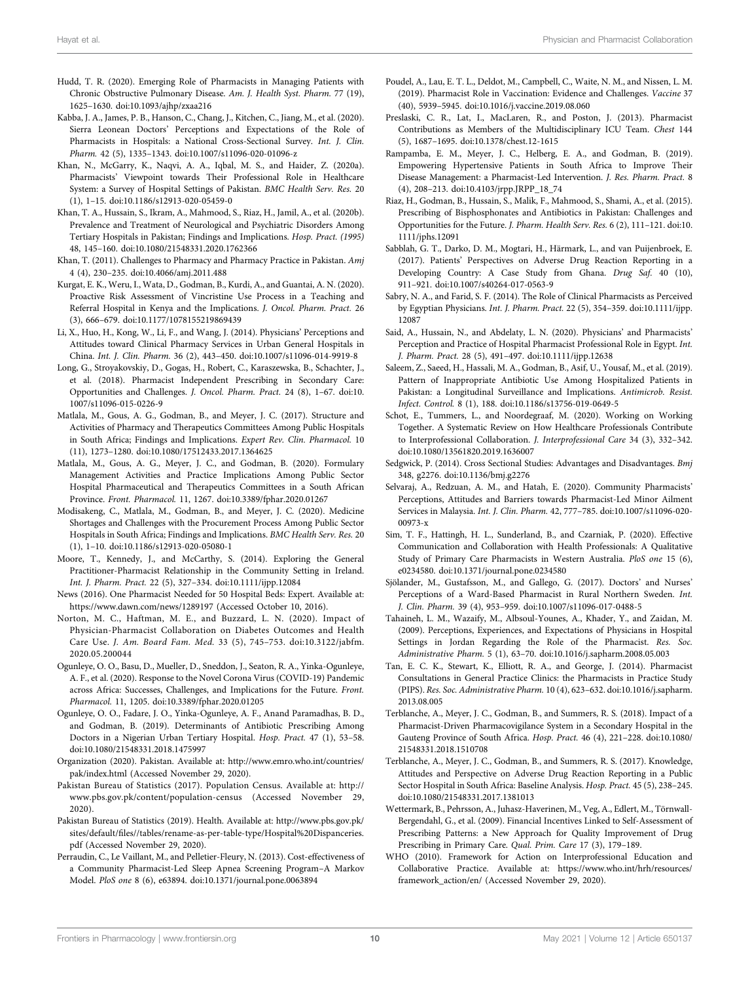- <span id="page-9-10"></span>Hudd, T. R. (2020). Emerging Role of Pharmacists in Managing Patients with Chronic Obstructive Pulmonary Disease. Am. J. Health Syst. Pharm. 77 (19), 1625–1630. doi[:10.1093/ajhp/zxaa216](https://doi.org/10.1093/ajhp/zxaa216)
- <span id="page-9-24"></span>Kabba, J. A., James, P. B., Hanson, C., Chang, J., Kitchen, C., Jiang, M., et al. (2020). Sierra Leonean Doctors' Perceptions and Expectations of the Role of Pharmacists in Hospitals: a National Cross-Sectional Survey. Int. J. Clin. Pharm. 42 (5), 1335–1343. doi[:10.1007/s11096-020-01096-z](https://doi.org/10.1007/s11096-020-01096-z)
- <span id="page-9-22"></span>Khan, N., McGarry, K., Naqvi, A. A., Iqbal, M. S., and Haider, Z. (2020a). Pharmacists' Viewpoint towards Their Professional Role in Healthcare System: a Survey of Hospital Settings of Pakistan. BMC Health Serv. Res. 20 (1), 1–15. doi[:10.1186/s12913-020-05459-0](https://doi.org/10.1186/s12913-020-05459-0)
- <span id="page-9-27"></span>Khan, T. A., Hussain, S., Ikram, A., Mahmood, S., Riaz, H., Jamil, A., et al. (2020b). Prevalence and Treatment of Neurological and Psychiatric Disorders Among Tertiary Hospitals in Pakistan; Findings and Implications. Hosp. Pract. (1995) 48, 145–160. doi[:10.1080/21548331.2020.1762366](https://doi.org/10.1080/21548331.2020.1762366)
- <span id="page-9-12"></span>Khan, T. (2011). Challenges to Pharmacy and Pharmacy Practice in Pakistan. Amj 4 (4), 230–235. doi:[10.4066/amj.2011.488](https://doi.org/10.4066/amj.2011.488)
- <span id="page-9-16"></span>Kurgat, E. K., Weru, I., Wata, D., Godman, B., Kurdi, A., and Guantai, A. N. (2020). Proactive Risk Assessment of Vincristine Use Process in a Teaching and Referral Hospital in Kenya and the Implications. J. Oncol. Pharm. Pract. 26 (3), 666–679. doi:[10.1177/1078155219869439](https://doi.org/10.1177/1078155219869439)
- <span id="page-9-35"></span>Li, X., Huo, H., Kong, W., Li, F., and Wang, J. (2014). Physicians' Perceptions and Attitudes toward Clinical Pharmacy Services in Urban General Hospitals in China. Int. J. Clin. Pharm. 36 (2), 443–450. doi[:10.1007/s11096-014-9919-8](https://doi.org/10.1007/s11096-014-9919-8)
- <span id="page-9-13"></span>Long, G., Stroyakovskiy, D., Gogas, H., Robert, C., Karaszewska, B., Schachter, J., et al. (2018). Pharmacist Independent Prescribing in Secondary Care: Opportunities and Challenges. J. Oncol. Pharm. Pract. 24 (8), 1–67. doi[:10.](https://doi.org/10.1007/s11096-015-0226-9) [1007/s11096-015-0226-9](https://doi.org/10.1007/s11096-015-0226-9)
- <span id="page-9-6"></span>Matlala, M., Gous, A. G., Godman, B., and Meyer, J. C. (2017). Structure and Activities of Pharmacy and Therapeutics Committees Among Public Hospitals in South Africa; Findings and Implications. Expert Rev. Clin. Pharmacol. 10 (11), 1273–1280. doi:[10.1080/17512433.2017.1364625](https://doi.org/10.1080/17512433.2017.1364625)
- <span id="page-9-8"></span>Matlala, M., Gous, A. G., Meyer, J. C., and Godman, B. (2020). Formulary Management Activities and Practice Implications Among Public Sector Hospital Pharmaceutical and Therapeutics Committees in a South African Province. Front. Pharmacol. 11, 1267. doi[:10.3389/fphar.2020.01267](https://doi.org/10.3389/fphar.2020.01267)
- <span id="page-9-9"></span>Modisakeng, C., Matlala, M., Godman, B., and Meyer, J. C. (2020). Medicine Shortages and Challenges with the Procurement Process Among Public Sector Hospitals in South Africa; Findings and Implications. BMC Health Serv. Res. 20 (1), 1–10. doi[:10.1186/s12913-020-05080-1](https://doi.org/10.1186/s12913-020-05080-1)
- <span id="page-9-38"></span>Moore, T., Kennedy, J., and McCarthy, S. (2014). Exploring the General Practitioner-Pharmacist Relationship in the Community Setting in Ireland. Int. J. Pharm. Pract. 22 (5), 327–334. doi[:10.1111/ijpp.12084](https://doi.org/10.1111/ijpp.12084)
- <span id="page-9-34"></span>News (2016). One Pharmacist Needed for 50 Hospital Beds: Expert. Available at: <https://www.dawn.com/news/1289197> (Accessed October 10, 2016).
- <span id="page-9-11"></span>Norton, M. C., Haftman, M. E., and Buzzard, L. N. (2020). Impact of Physician-Pharmacist Collaboration on Diabetes Outcomes and Health Care Use. J. Am. Board Fam. Med. 33 (5), 745–753. doi:[10.3122/jabfm.](https://doi.org/10.3122/jabfm.2020.05.200044) [2020.05.200044](https://doi.org/10.3122/jabfm.2020.05.200044)
- <span id="page-9-3"></span>Ogunleye, O. O., Basu, D., Mueller, D., Sneddon, J., Seaton, R. A., Yinka-Ogunleye, A. F., et al. (2020). Response to the Novel Corona Virus (COVID-19) Pandemic across Africa: Successes, Challenges, and Implications for the Future. Front. Pharmacol. 11, 1205. doi[:10.3389/fphar.2020.01205](https://doi.org/10.3389/fphar.2020.01205)
- <span id="page-9-25"></span>Ogunleye, O. O., Fadare, J. O., Yinka-Ogunleye, A. F., Anand Paramadhas, B. D., and Godman, B. (2019). Determinants of Antibiotic Prescribing Among Doctors in a Nigerian Urban Tertiary Hospital. Hosp. Pract. 47 (1), 53–58. doi:[10.1080/21548331.2018.1475997](https://doi.org/10.1080/21548331.2018.1475997)
- <span id="page-9-21"></span>Organization (2020). Pakistan. Available at: [http://www.emro.who.int/countries/](http://www.emro.who.int/countries/pak/index.html) [pak/index.html](http://www.emro.who.int/countries/pak/index.html) (Accessed November 29, 2020).
- <span id="page-9-20"></span>Pakistan Bureau of Statistics (2017). Population Census. Available at: [http://](http://www.pbs.gov.pk/content/population-census) [www.pbs.gov.pk/content/population-census](http://www.pbs.gov.pk/content/population-census) (Accessed November 29, 2020).
- <span id="page-9-29"></span>Pakistan Bureau of Statistics (2019). Health. Available at: [http://www.pbs.gov.pk/](http://www.pbs.gov.pk/sites/default/files//tables/rename-as-per-table-type/Hospital%20Dispanceries.pdf) sites/default/fi[les//tables/rename-as-per-table-type/Hospital%20Dispanceries.](http://www.pbs.gov.pk/sites/default/files//tables/rename-as-per-table-type/Hospital%20Dispanceries.pdf) [pdf](http://www.pbs.gov.pk/sites/default/files//tables/rename-as-per-table-type/Hospital%20Dispanceries.pdf) (Accessed November 29, 2020).
- <span id="page-9-23"></span>Perraudin, C., Le Vaillant, M., and Pelletier-Fleury, N. (2013). Cost-effectiveness of a Community Pharmacist-Led Sleep Apnea Screening Program–A Markov Model. PloS one 8 (6), e63894. doi[:10.1371/journal.pone.0063894](https://doi.org/10.1371/journal.pone.0063894)
- <span id="page-9-37"></span>Poudel, A., Lau, E. T. L., Deldot, M., Campbell, C., Waite, N. M., and Nissen, L. M. (2019). Pharmacist Role in Vaccination: Evidence and Challenges. Vaccine 37 (40), 5939–5945. doi[:10.1016/j.vaccine.2019.08.060](https://doi.org/10.1016/j.vaccine.2019.08.060)
- <span id="page-9-15"></span>Preslaski, C. R., Lat, I., MacLaren, R., and Poston, J. (2013). Pharmacist Contributions as Members of the Multidisciplinary ICU Team. Chest 144 (5), 1687–1695. doi:[10.1378/chest.12-1615](https://doi.org/10.1378/chest.12-1615)
- <span id="page-9-2"></span>Rampamba, E. M., Meyer, J. C., Helberg, E. A., and Godman, B. (2019). Empowering Hypertensive Patients in South Africa to Improve Their Disease Management: a Pharmacist-Led Intervention. J. Res. Pharm. Pract. 8 (4), 208–213. doi:[10.4103/jrpp.JRPP\\_18\\_74](https://doi.org/10.4103/jrpp.JRPP_18_74)
- <span id="page-9-32"></span>Riaz, H., Godman, B., Hussain, S., Malik, F., Mahmood, S., Shami, A., et al. (2015). Prescribing of Bisphosphonates and Antibiotics in Pakistan: Challenges and Opportunities for the Future. J. Pharm. Health Serv. Res. 6 (2), 111–121. doi[:10.](https://doi.org/10.1111/jphs.12091) [1111/jphs.12091](https://doi.org/10.1111/jphs.12091)
- <span id="page-9-31"></span>Sabblah, G. T., Darko, D. M., Mogtari, H., Härmark, L., and van Puijenbroek, E. (2017). Patients' Perspectives on Adverse Drug Reaction Reporting in a Developing Country: A Case Study from Ghana. Drug Saf. 40 (10), 911–921. doi:[10.1007/s40264-017-0563-9](https://doi.org/10.1007/s40264-017-0563-9)
- <span id="page-9-36"></span>Sabry, N. A., and Farid, S. F. (2014). The Role of Clinical Pharmacists as Perceived by Egyptian Physicians. Int. J. Pharm. Pract. 22 (5), 354–359. doi[:10.1111/ijpp.](https://doi.org/10.1111/ijpp.12087) [12087](https://doi.org/10.1111/ijpp.12087)
- <span id="page-9-33"></span>Said, A., Hussain, N., and Abdelaty, L. N. (2020). Physicians' and Pharmacists' Perception and Practice of Hospital Pharmacist Professional Role in Egypt. Int. J. Pharm. Pract. 28 (5), 491–497. doi:[10.1111/ijpp.12638](https://doi.org/10.1111/ijpp.12638)
- <span id="page-9-26"></span>Saleem, Z., Saeed, H., Hassali, M. A., Godman, B., Asif, U., Yousaf, M., et al. (2019). Pattern of Inappropriate Antibiotic Use Among Hospitalized Patients in Pakistan: a Longitudinal Surveillance and Implications. Antimicrob. Resist. Infect. Control. 8 (1), 188. doi[:10.1186/s13756-019-0649-5](https://doi.org/10.1186/s13756-019-0649-5)
- <span id="page-9-0"></span>Schot, E., Tummers, L., and Noordegraaf, M. (2020). Working on Working Together. A Systematic Review on How Healthcare Professionals Contribute to Interprofessional Collaboration. J. Interprofessional Care 34 (3), 332–342. doi[:10.1080/13561820.2019.1636007](https://doi.org/10.1080/13561820.2019.1636007)
- <span id="page-9-28"></span>Sedgwick, P. (2014). Cross Sectional Studies: Advantages and Disadvantages. Bmj 348, g2276. doi[:10.1136/bmj.g2276](https://doi.org/10.1136/bmj.g2276)
- <span id="page-9-4"></span>Selvaraj, A., Redzuan, A. M., and Hatah, E. (2020). Community Pharmacists' Perceptions, Attitudes and Barriers towards Pharmacist-Led Minor Ailment Services in Malaysia. Int. J. Clin. Pharm. 42, 777–785. doi:[10.1007/s11096-020-](https://doi.org/10.1007/s11096-020-00973-x) [00973-x](https://doi.org/10.1007/s11096-020-00973-x)
- <span id="page-9-19"></span>Sim, T. F., Hattingh, H. L., Sunderland, B., and Czarniak, P. (2020). Effective Communication and Collaboration with Health Professionals: A Qualitative Study of Primary Care Pharmacists in Western Australia. PloS one 15 (6), e0234580. doi:[10.1371/journal.pone.0234580](https://doi.org/10.1371/journal.pone.0234580)
- <span id="page-9-18"></span>Sjölander, M., Gustafsson, M., and Gallego, G. (2017). Doctors' and Nurses' Perceptions of a Ward-Based Pharmacist in Rural Northern Sweden. Int. J. Clin. Pharm. 39 (4), 953–959. doi:[10.1007/s11096-017-0488-5](https://doi.org/10.1007/s11096-017-0488-5)
- <span id="page-9-30"></span>Tahaineh, L. M., Wazaify, M., Albsoul-Younes, A., Khader, Y., and Zaidan, M. (2009). Perceptions, Experiences, and Expectations of Physicians in Hospital Settings in Jordan Regarding the Role of the Pharmacist. Res. Soc. Administrative Pharm. 5 (1), 63–70. doi:[10.1016/j.sapharm.2008.05.003](https://doi.org/10.1016/j.sapharm.2008.05.003)
- <span id="page-9-14"></span>Tan, E. C. K., Stewart, K., Elliott, R. A., and George, J. (2014). Pharmacist Consultations in General Practice Clinics: the Pharmacists in Practice Study (PIPS). Res. Soc. Administrative Pharm. 10 (4), 623–632. doi[:10.1016/j.sapharm.](https://doi.org/10.1016/j.sapharm.2013.08.005) [2013.08.005](https://doi.org/10.1016/j.sapharm.2013.08.005)
- <span id="page-9-7"></span>Terblanche, A., Meyer, J. C., Godman, B., and Summers, R. S. (2018). Impact of a Pharmacist-Driven Pharmacovigilance System in a Secondary Hospital in the Gauteng Province of South Africa. Hosp. Pract. 46 (4), 221–228. doi[:10.1080/](https://doi.org/10.1080/21548331.2018.1510708) [21548331.2018.1510708](https://doi.org/10.1080/21548331.2018.1510708)
- <span id="page-9-5"></span>Terblanche, A., Meyer, J. C., Godman, B., and Summers, R. S. (2017). Knowledge, Attitudes and Perspective on Adverse Drug Reaction Reporting in a Public Sector Hospital in South Africa: Baseline Analysis. Hosp. Pract. 45 (5), 238–245. doi[:10.1080/21548331.2017.1381013](https://doi.org/10.1080/21548331.2017.1381013)
- <span id="page-9-1"></span>Wettermark, B., Pehrsson, A., Juhasz-Haverinen, M., Veg, A., Edlert, M., Törnwall-Bergendahl, G., et al. (2009). Financial Incentives Linked to Self-Assessment of Prescribing Patterns: a New Approach for Quality Improvement of Drug Prescribing in Primary Care. Qual. Prim. Care 17 (3), 179–189.
- <span id="page-9-17"></span>WHO (2010). Framework for Action on Interprofessional Education and Collaborative Practice. Available at: [https://www.who.int/hrh/resources/](https://www.who.int/hrh/resources/framework_action/en/) [framework\\_action/en/](https://www.who.int/hrh/resources/framework_action/en/) (Accessed November 29, 2020).